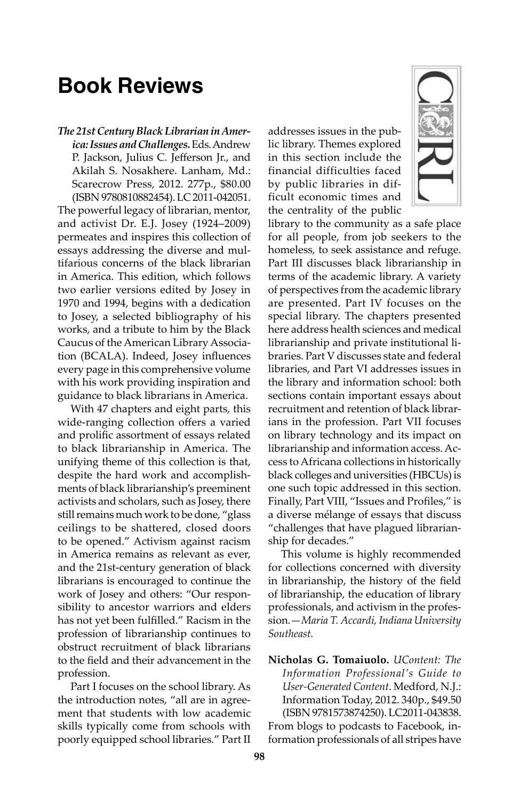## **Book Reviews**

*The 21st Century Black Librarian in America: Issues and Challenges***.** Eds. Andrew P. Jackson, Julius C. Jefferson Jr., and Akilah S. Nosakhere. Lanham, Md.: Scarecrow Press, 2012. 277p., \$80.00 (ISBN 9780810882454). LC 2011-042051.

The powerful legacy of librarian, mentor, and activist Dr. E.J. Josey (1924–2009) permeates and inspires this collection of essays addressing the diverse and multifarious concerns of the black librarian in America. This edition, which follows two earlier versions edited by Josey in 1970 and 1994, begins with a dedication to Josey, a selected bibliography of his works, and a tribute to him by the Black Caucus of the American Library Association (BCALA). Indeed, Josey influences every page in this comprehensive volume with his work providing inspiration and guidance to black librarians in America.

With 47 chapters and eight parts, this wide-ranging collection offers a varied and prolific assortment of essays related to black librarianship in America. The unifying theme of this collection is that, despite the hard work and accomplishments of black librarianship's preeminent activists and scholars, such as Josey, there still remains much work to be done, "glass ceilings to be shattered, closed doors to be opened." Activism against racism in America remains as relevant as ever, and the 21st-century generation of black librarians is encouraged to continue the work of Josey and others: "Our responsibility to ancestor warriors and elders has not yet been fulfilled." Racism in the profession of librarianship continues to obstruct recruitment of black librarians to the field and their advancement in the profession.

Part I focuses on the school library. As the introduction notes, "all are in agreement that students with low academic skills typically come from schools with poorly equipped school libraries." Part II addresses issues in the public library. Themes explored in this section include the financial difficulties faced by public libraries in difficult economic times and the centrality of the public



library to the community as a safe place for all people, from job seekers to the homeless, to seek assistance and refuge. Part III discusses black librarianship in terms of the academic library. A variety of perspectives from the academic library are presented. Part IV focuses on the special library. The chapters presented here address health sciences and medical librarianship and private institutional libraries. Part V discusses state and federal libraries, and Part VI addresses issues in the library and information school: both sections contain important essays about recruitment and retention of black librarians in the profession. Part VII focuses on library technology and its impact on librarianship and information access. Access to Africana collections in historically black colleges and universities (HBCUs) is one such topic addressed in this section. Finally, Part VIII, "Issues and Profiles," is a diverse mélange of essays that discuss "challenges that have plagued librarianship for decades."

This volume is highly recommended for collections concerned with diversity in librarianship, the history of the field of librarianship, the education of library professionals, and activism in the profession.—*Maria T. Accardi, Indiana University Southeast.*

**Nicholas G. Tomaiuolo.** *UContent: The Information Professional's Guide to User-Generated Content*. Medford, N.J.: Information Today, 2012. 340p., \$49.50 (ISBN 9781573874250). LC2011-043838. From blogs to podcasts to Facebook, information professionals of all stripes have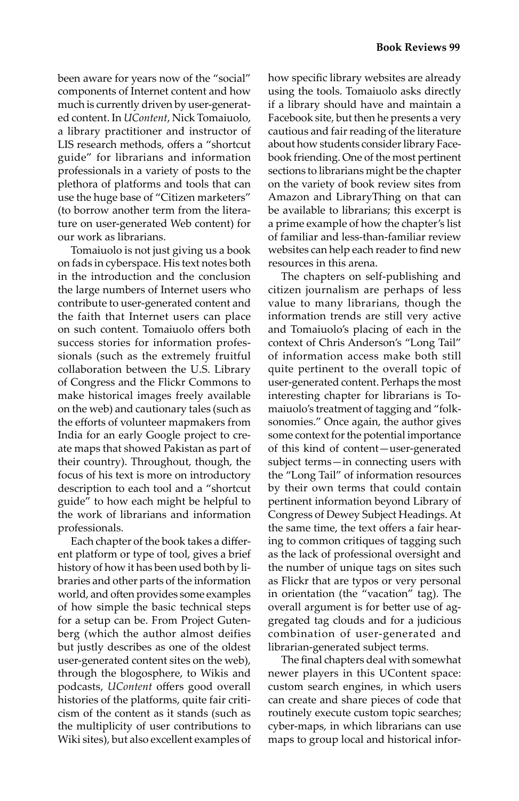been aware for years now of the "social" components of Internet content and how much is currently driven by user-generated content. In *UContent*, Nick Tomaiuolo, a library practitioner and instructor of LIS research methods, offers a "shortcut guide" for librarians and information professionals in a variety of posts to the plethora of platforms and tools that can use the huge base of "Citizen marketers" (to borrow another term from the literature on user-generated Web content) for our work as librarians.

Tomaiuolo is not just giving us a book on fads in cyberspace. His text notes both in the introduction and the conclusion the large numbers of Internet users who contribute to user-generated content and the faith that Internet users can place on such content. Tomaiuolo offers both success stories for information professionals (such as the extremely fruitful collaboration between the U.S. Library of Congress and the Flickr Commons to make historical images freely available on the web) and cautionary tales (such as the efforts of volunteer mapmakers from India for an early Google project to create maps that showed Pakistan as part of their country). Throughout, though, the focus of his text is more on introductory description to each tool and a "shortcut guide" to how each might be helpful to the work of librarians and information professionals.

Each chapter of the book takes a different platform or type of tool, gives a brief history of how it has been used both by libraries and other parts of the information world, and often provides some examples of how simple the basic technical steps for a setup can be. From Project Gutenberg (which the author almost deifies but justly describes as one of the oldest user-generated content sites on the web), through the blogosphere, to Wikis and podcasts, *UContent* offers good overall histories of the platforms, quite fair criticism of the content as it stands (such as the multiplicity of user contributions to Wiki sites), but also excellent examples of how specific library websites are already using the tools. Tomaiuolo asks directly if a library should have and maintain a Facebook site, but then he presents a very cautious and fair reading of the literature about how students consider library Facebook friending. One of the most pertinent sections to librarians might be the chapter on the variety of book review sites from Amazon and LibraryThing on that can be available to librarians; this excerpt is a prime example of how the chapter's list of familiar and less-than-familiar review websites can help each reader to find new resources in this arena.

The chapters on self-publishing and citizen journalism are perhaps of less value to many librarians, though the information trends are still very active and Tomaiuolo's placing of each in the context of Chris Anderson's "Long Tail" of information access make both still quite pertinent to the overall topic of user-generated content. Perhaps the most interesting chapter for librarians is Tomaiuolo's treatment of tagging and "folksonomies." Once again, the author gives some context for the potential importance of this kind of content—user-generated subject terms—in connecting users with the "Long Tail" of information resources by their own terms that could contain pertinent information beyond Library of Congress of Dewey Subject Headings. At the same time, the text offers a fair hearing to common critiques of tagging such as the lack of professional oversight and the number of unique tags on sites such as Flickr that are typos or very personal in orientation (the "vacation" tag). The overall argument is for better use of aggregated tag clouds and for a judicious combination of user-generated and librarian-generated subject terms.

The final chapters deal with somewhat newer players in this UContent space: custom search engines, in which users can create and share pieces of code that routinely execute custom topic searches; cyber-maps, in which librarians can use maps to group local and historical infor-